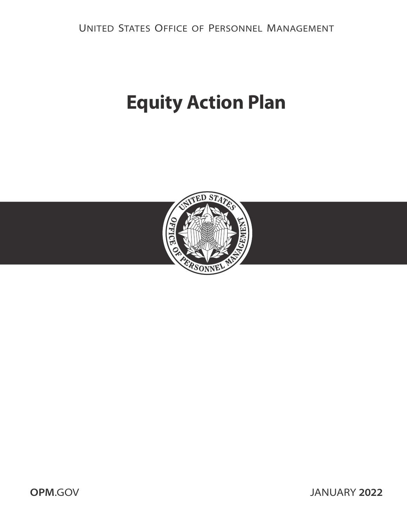# **Equity Action Plan**



**OPM**[.GOV](https://www.opm.gov) JANUARY **2022**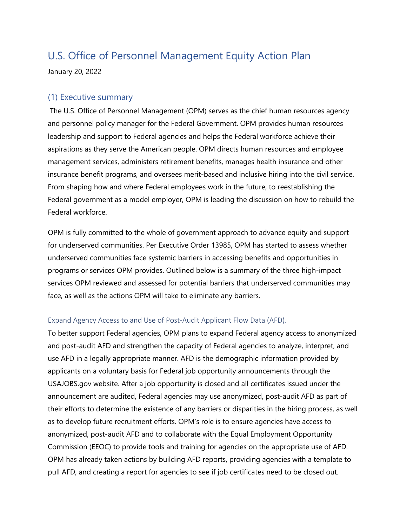January 20, 2022

## (1) Executive summary

The U.S. Office of Personnel Management (OPM) serves as the chief human resources agency and personnel policy manager for the Federal Government. OPM provides human resources leadership and support to Federal agencies and helps the Federal workforce achieve their aspirations as they serve the American people. OPM directs human resources and employee management services, administers retirement benefits, manages health insurance and other insurance benefit programs, and oversees merit-based and inclusive hiring into the civil service. From shaping how and where Federal employees work in the future, to reestablishing the Federal government as a model employer, OPM is leading the discussion on how to rebuild the Federal workforce.

OPM is fully committed to the whole of government approach to advance equity and support for underserved communities. Per Executive Order 13985, OPM has started to assess whether underserved communities face systemic barriers in accessing benefits and opportunities in programs or services OPM provides. Outlined below is a summary of the three high-impact services OPM reviewed and assessed for potential barriers that underserved communities may face, as well as the actions OPM will take to eliminate any barriers.

#### Expand Agency Access to and Use of Post-Audit Applicant Flow Data (AFD).

To better support Federal agencies, OPM plans to expand Federal agency access to anonymized and post-audit AFD and strengthen the capacity of Federal agencies to analyze, interpret, and use AFD in a legally appropriate manner. AFD is the demographic information provided by applicants on a voluntary basis for Federal job opportunity announcements through the USAJOBS.gov website. After a job opportunity is closed and all certificates issued under the announcement are audited, Federal agencies may use anonymized, post-audit AFD as part of their efforts to determine the existence of any barriers or disparities in the hiring process, as well as to develop future recruitment efforts. OPM's role is to ensure agencies have access to anonymized, post-audit AFD and to collaborate with the Equal Employment Opportunity Commission (EEOC) to provide tools and training for agencies on the appropriate use of AFD. OPM has already taken actions by building AFD reports, providing agencies with a template to pull AFD, and creating a report for agencies to see if job certificates need to be closed out.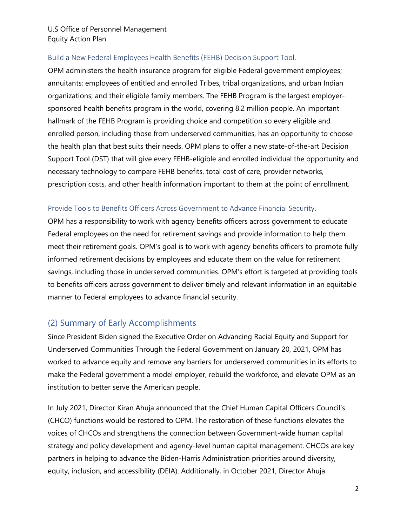#### Build a New Federal Employees Health Benefits (FEHB) Decision Support Tool.

OPM administers the health insurance program for eligible Federal government employees; annuitants; employees of entitled and enrolled Tribes, tribal organizations, and urban Indian organizations; and their eligible family members. The FEHB Program is the largest employersponsored health benefits program in the world, covering 8.2 million people. An important hallmark of the FEHB Program is providing choice and competition so every eligible and enrolled person, including those from underserved communities, has an opportunity to choose the health plan that best suits their needs. OPM plans to offer a new state-of-the-art Decision Support Tool (DST) that will give every FEHB-eligible and enrolled individual the opportunity and necessary technology to compare FEHB benefits, total cost of care, provider networks, prescription costs, and other health information important to them at the point of enrollment.

#### Provide Tools to Benefits Officers Across Government to Advance Financial Security.

OPM has a responsibility to work with agency benefits officers across government to educate Federal employees on the need for retirement savings and provide information to help them meet their retirement goals. OPM's goal is to work with agency benefits officers to promote fully informed retirement decisions by employees and educate them on the value for retirement savings, including those in underserved communities. OPM's effort is targeted at providing tools to benefits officers across government to deliver timely and relevant information in an equitable manner to Federal employees to advance financial security.

## (2) Summary of Early Accomplishments

Since President Biden signed the Executive Order on Advancing Racial Equity and Support for Underserved Communities Through the Federal Government on January 20, 2021, OPM has worked to advance equity and remove any barriers for underserved communities in its efforts to make the Federal government a model employer, rebuild the workforce, and elevate OPM as an institution to better serve the American people.

In July 2021, Director Kiran Ahuja announced that the Chief Human Capital Officers Council's (CHCO) functions would be restored to OPM. The restoration of these functions elevates the voices of CHCOs and strengthens the connection between Government-wide human capital strategy and policy development and agency-level human capital management. CHCOs are key partners in helping to advance the Biden-Harris Administration priorities around diversity, equity, inclusion, and accessibility (DEIA). Additionally, in October 2021, Director Ahuja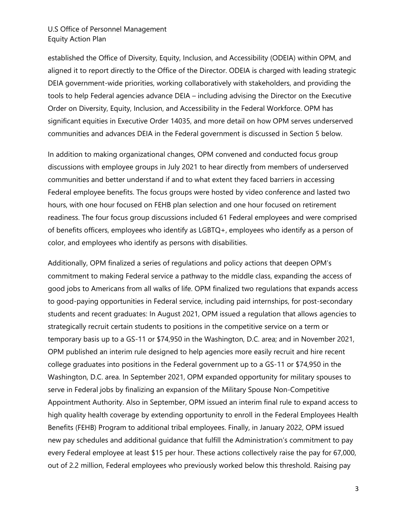established the Office of Diversity, Equity, Inclusion, and Accessibility (ODEIA) within OPM, and aligned it to report directly to the Office of the Director. ODEIA is charged with leading strategic DEIA government-wide priorities, working collaboratively with stakeholders, and providing the tools to help Federal agencies advance DEIA – including advising the Director on the Executive Order on Diversity, Equity, Inclusion, and Accessibility in the Federal Workforce. OPM has significant equities in Executive Order 14035, and more detail on how OPM serves underserved communities and advances DEIA in the Federal government is discussed in Section 5 below.

In addition to making organizational changes, OPM convened and conducted focus group discussions with employee groups in July 2021 to hear directly from members of underserved communities and better understand if and to what extent they faced barriers in accessing Federal employee benefits. The focus groups were hosted by video conference and lasted two hours, with one hour focused on FEHB plan selection and one hour focused on retirement readiness. The four focus group discussions included 61 Federal employees and were comprised of benefits officers, employees who identify as LGBTQ+, employees who identify as a person of color, and employees who identify as persons with disabilities.

Additionally, OPM finalized a series of regulations and policy actions that deepen OPM's commitment to making Federal service a pathway to the middle class, expanding the access of good jobs to Americans from all walks of life. OPM finalized two regulations that expands access to good-paying opportunities in Federal service, including paid internships, for post-secondary students and recent graduates: In August 2021, OPM issued a regulation that allows agencies to strategically recruit certain students to positions in the competitive service on a term or temporary basis up to a GS-11 or \$74,950 in the Washington, D.C. area; and in November 2021, OPM published an interim rule designed to help agencies more easily recruit and hire recent college graduates into positions in the Federal government up to a GS-11 or \$74,950 in the Washington, D.C. area. In September 2021, OPM expanded opportunity for military spouses to serve in Federal jobs by finalizing an expansion of the Military Spouse Non-Competitive Appointment Authority. Also in September, OPM issued an interim final rule to expand access to high quality health coverage by extending opportunity to enroll in the Federal Employees Health Benefits (FEHB) Program to additional tribal employees. Finally, in January 2022, OPM issued new pay schedules and additional guidance that fulfill the Administration's commitment to pay every Federal employee at least \$15 per hour. These actions collectively raise the pay for 67,000, out of 2.2 million, Federal employees who previously worked below this threshold. Raising pay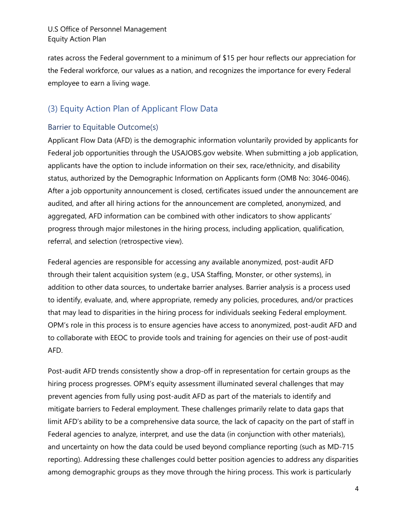rates across the Federal government to a minimum of \$15 per hour reflects our appreciation for the Federal workforce, our values as a nation, and recognizes the importance for every Federal employee to earn a living wage.

## (3) Equity Action Plan of Applicant Flow Data

## Barrier to Equitable Outcome(s)

Applicant Flow Data (AFD) is the demographic information voluntarily provided by applicants for Federal job opportunities through the USAJOBS.gov website. When submitting a job application, applicants have the option to include information on their sex, race/ethnicity, and disability status, authorized by the Demographic Information on Applicants form (OMB No: 3046-0046). After a job opportunity announcement is closed, certificates issued under the announcement are audited, and after all hiring actions for the announcement are completed, anonymized, and aggregated, AFD information can be combined with other indicators to show applicants' progress through major milestones in the hiring process, including application, qualification, referral, and selection (retrospective view).

Federal agencies are responsible for accessing any available anonymized, post-audit AFD through their talent acquisition system (e.g., USA Staffing, Monster, or other systems), in addition to other data sources, to undertake barrier analyses. Barrier analysis is a process used to identify, evaluate, and, where appropriate, remedy any policies, procedures, and/or practices that may lead to disparities in the hiring process for individuals seeking Federal employment. OPM's role in this process is to ensure agencies have access to anonymized, post-audit AFD and to collaborate with EEOC to provide tools and training for agencies on their use of post-audit AFD.

Post-audit AFD trends consistently show a drop-off in representation for certain groups as the hiring process progresses. OPM's equity assessment illuminated several challenges that may prevent agencies from fully using post-audit AFD as part of the materials to identify and mitigate barriers to Federal employment. These challenges primarily relate to data gaps that limit AFD's ability to be a comprehensive data source, the lack of capacity on the part of staff in Federal agencies to analyze, interpret, and use the data (in conjunction with other materials), and uncertainty on how the data could be used beyond compliance reporting (such as MD-715 reporting). Addressing these challenges could better position agencies to address any disparities among demographic groups as they move through the hiring process. This work is particularly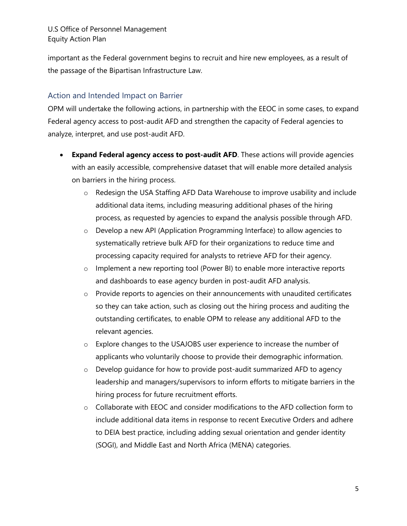important as the Federal government begins to recruit and hire new employees, as a result of the passage of the Bipartisan Infrastructure Law.

## Action and Intended Impact on Barrier

OPM will undertake the following actions, in partnership with the EEOC in some cases, to expand Federal agency access to post-audit AFD and strengthen the capacity of Federal agencies to analyze, interpret, and use post-audit AFD.

- **Expand Federal agency access to post-audit AFD**. These actions will provide agencies with an easily accessible, comprehensive dataset that will enable more detailed analysis on barriers in the hiring process.
	- o Redesign the USA Staffing AFD Data Warehouse to improve usability and include additional data items, including measuring additional phases of the hiring process, as requested by agencies to expand the analysis possible through AFD.
	- o Develop a new API (Application Programming Interface) to allow agencies to systematically retrieve bulk AFD for their organizations to reduce time and processing capacity required for analysts to retrieve AFD for their agency.
	- $\circ$  Implement a new reporting tool (Power BI) to enable more interactive reports and dashboards to ease agency burden in post-audit AFD analysis.
	- $\circ$  Provide reports to agencies on their announcements with unaudited certificates so they can take action, such as closing out the hiring process and auditing the outstanding certificates, to enable OPM to release any additional AFD to the relevant agencies.
	- o Explore changes to the USAJOBS user experience to increase the number of applicants who voluntarily choose to provide their demographic information.
	- $\circ$  Develop guidance for how to provide post-audit summarized AFD to agency leadership and managers/supervisors to inform efforts to mitigate barriers in the hiring process for future recruitment efforts.
	- $\circ$  Collaborate with EEOC and consider modifications to the AFD collection form to include additional data items in response to recent Executive Orders and adhere to DEIA best practice, including adding sexual orientation and gender identity (SOGI), and Middle East and North Africa (MENA) categories.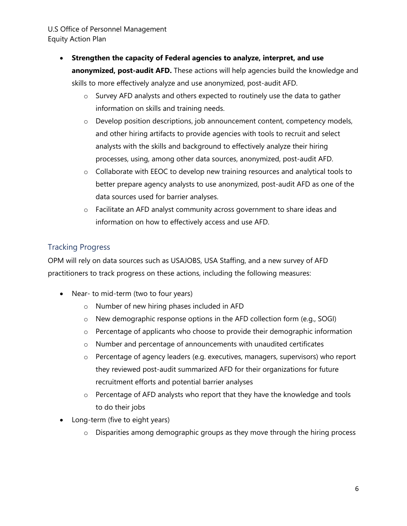- **Strengthen the capacity of Federal agencies to analyze, interpret, and use anonymized, post-audit AFD.** These actions will help agencies build the knowledge and skills to more effectively analyze and use anonymized, post-audit AFD.
	- o Survey AFD analysts and others expected to routinely use the data to gather information on skills and training needs.
	- o Develop position descriptions, job announcement content, competency models, and other hiring artifacts to provide agencies with tools to recruit and select analysts with the skills and background to effectively analyze their hiring processes, using, among other data sources, anonymized, post-audit AFD.
	- o Collaborate with EEOC to develop new training resources and analytical tools to better prepare agency analysts to use anonymized, post-audit AFD as one of the data sources used for barrier analyses.
	- o Facilitate an AFD analyst community across government to share ideas and information on how to effectively access and use AFD.

## Tracking Progress

OPM will rely on data sources such as USAJOBS, USA Staffing, and a new survey of AFD practitioners to track progress on these actions, including the following measures:

- Near- to mid-term (two to four years)
	- o Number of new hiring phases included in AFD
	- o New demographic response options in the AFD collection form (e.g., SOGI)
	- o Percentage of applicants who choose to provide their demographic information
	- o Number and percentage of announcements with unaudited certificates
	- o Percentage of agency leaders (e.g. executives, managers, supervisors) who report they reviewed post-audit summarized AFD for their organizations for future recruitment efforts and potential barrier analyses
	- o Percentage of AFD analysts who report that they have the knowledge and tools to do their jobs
- Long-term (five to eight years)
	- o Disparities among demographic groups as they move through the hiring process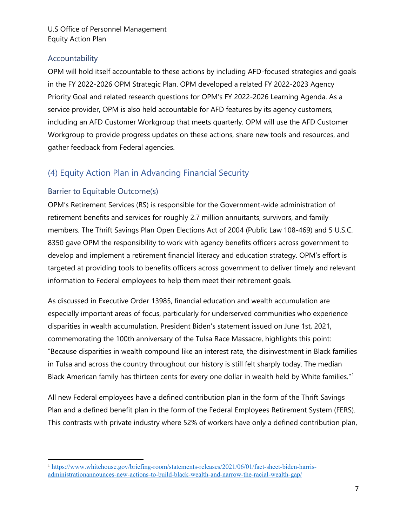## Accountability

OPM will hold itself accountable to these actions by including AFD-focused strategies and goals in the FY 2022-2026 OPM Strategic Plan. OPM developed a related FY 2022-2023 Agency Priority Goal and related research questions for OPM's FY 2022-2026 Learning Agenda. As a service provider, OPM is also held accountable for AFD features by its agency customers, including an AFD Customer Workgroup that meets quarterly. OPM will use the AFD Customer Workgroup to provide progress updates on these actions, share new tools and resources, and gather feedback from Federal agencies.

## (4) Equity Action Plan in Advancing Financial Security

## Barrier to Equitable Outcome(s)

OPM's Retirement Services (RS) is responsible for the Government-wide administration of retirement benefits and services for roughly 2.7 million annuitants, survivors, and family members. The Thrift Savings Plan Open Elections Act of 2004 (Public Law 108-469) and 5 U.S.C. 8350 gave OPM the responsibility to work with agency benefits officers across government to develop and implement a retirement financial literacy and education strategy. OPM's effort is targeted at providing tools to benefits officers across government to deliver timely and relevant information to Federal employees to help them meet their retirement goals.

As discussed in Executive Order 13985, financial education and wealth accumulation are especially important areas of focus, particularly for underserved communities who experience disparities in wealth accumulation. President Biden's statement issued on June 1st, 2021, commemorating the 100th anniversary of the Tulsa Race Massacre, highlights this point: "Because disparities in wealth compound like an interest rate, the disinvestment in Black families in Tulsa and across the country throughout our history is still felt sharply today. The median Black American family has thirteen cents for every one dollar in wealth held by White families."[1](#page-7-0)

All new Federal employees have a defined contribution plan in the form of the Thrift Savings Plan and a defined benefit plan in the form of the Federal Employees Retirement System (FERS). This contrasts with private industry where 52% of workers have only a defined contribution plan,

<span id="page-7-0"></span><sup>&</sup>lt;sup>1</sup> [https://www.whitehouse.gov/briefing-room/statements-releases/2021/06/01/fact-sheet-biden-harris](https://www.whitehouse.gov/briefing-room/statements-releases/2021/06/01/fact-sheet-biden-harris-administrationannounces-new-actions-to-build-black-wealth-and-narrow-the-racial-wealth-gap/)[administrationannounces-new-actions-to-build-black-wealth-and-narrow-the-racial-wealth-gap/](https://www.whitehouse.gov/briefing-room/statements-releases/2021/06/01/fact-sheet-biden-harris-administrationannounces-new-actions-to-build-black-wealth-and-narrow-the-racial-wealth-gap/)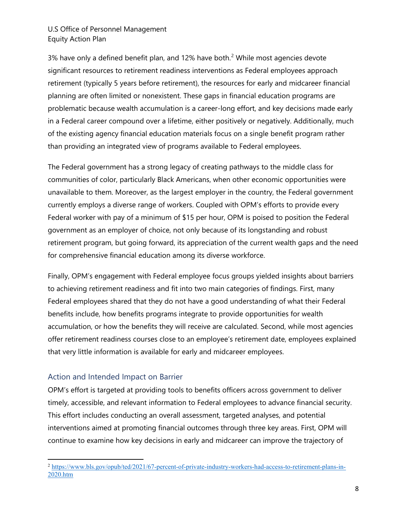3% have only a defined benefit plan, and 1[2](#page-8-0)% have both. $<sup>2</sup>$  While most agencies devote</sup> significant resources to retirement readiness interventions as Federal employees approach retirement (typically 5 years before retirement), the resources for early and midcareer financial planning are often limited or nonexistent. These gaps in financial education programs are problematic because wealth accumulation is a career-long effort, and key decisions made early in a Federal career compound over a lifetime, either positively or negatively. Additionally, much of the existing agency financial education materials focus on a single benefit program rather than providing an integrated view of programs available to Federal employees.

The Federal government has a strong legacy of creating pathways to the middle class for communities of color, particularly Black Americans, when other economic opportunities were unavailable to them. Moreover, as the largest employer in the country, the Federal government currently employs a diverse range of workers. Coupled with OPM's efforts to provide every Federal worker with pay of a minimum of \$15 per hour, OPM is poised to position the Federal government as an employer of choice, not only because of its longstanding and robust retirement program, but going forward, its appreciation of the current wealth gaps and the need for comprehensive financial education among its diverse workforce.

Finally, OPM's engagement with Federal employee focus groups yielded insights about barriers to achieving retirement readiness and fit into two main categories of findings. First, many Federal employees shared that they do not have a good understanding of what their Federal benefits include, how benefits programs integrate to provide opportunities for wealth accumulation, or how the benefits they will receive are calculated. Second, while most agencies offer retirement readiness courses close to an employee's retirement date, employees explained that very little information is available for early and midcareer employees.

## Action and Intended Impact on Barrier

OPM's effort is targeted at providing tools to benefits officers across government to deliver timely, accessible, and relevant information to Federal employees to advance financial security. This effort includes conducting an overall assessment, targeted analyses, and potential interventions aimed at promoting financial outcomes through three key areas. First, OPM will continue to examine how key decisions in early and midcareer can improve the trajectory of

<span id="page-8-0"></span><sup>&</sup>lt;sup>2</sup> [https://www.bls.gov/opub/ted/2021/67-percent-of-private-industry-workers-had-access-to-retirement-plans-in-](https://www.bls.gov/opub/ted/2021/67-percent-of-private-industry-workers-had-access-to-retirement-plans-in-2020.htm)[2020.htm](https://www.bls.gov/opub/ted/2021/67-percent-of-private-industry-workers-had-access-to-retirement-plans-in-2020.htm)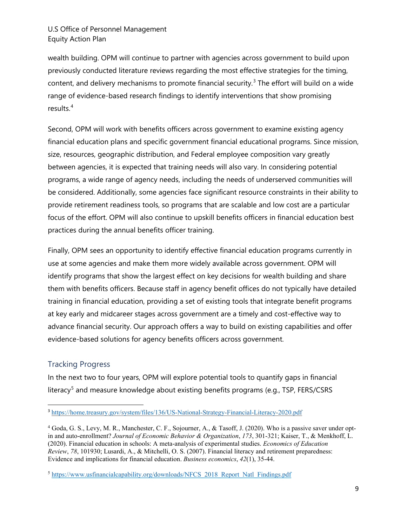wealth building. OPM will continue to partner with agencies across government to build upon previously conducted literature reviews regarding the most effective strategies for the timing, content, and delivery mechanisms to promote financial security.<sup>[3](#page-9-0)</sup> The effort will build on a wide range of evidence-based research findings to identify interventions that show promising results. [4](#page-9-1)

Second, OPM will work with benefits officers across government to examine existing agency financial education plans and specific government financial educational programs. Since mission, size, resources, geographic distribution, and Federal employee composition vary greatly between agencies, it is expected that training needs will also vary. In considering potential programs, a wide range of agency needs, including the needs of underserved communities will be considered. Additionally, some agencies face significant resource constraints in their ability to provide retirement readiness tools, so programs that are scalable and low cost are a particular focus of the effort. OPM will also continue to upskill benefits officers in financial education best practices during the annual benefits officer training.

Finally, OPM sees an opportunity to identify effective financial education programs currently in use at some agencies and make them more widely available across government. OPM will identify programs that show the largest effect on key decisions for wealth building and share them with benefits officers. Because staff in agency benefit offices do not typically have detailed training in financial education, providing a set of existing tools that integrate benefit programs at key early and midcareer stages across government are a timely and cost-effective way to advance financial security. Our approach offers a way to build on existing capabilities and offer evidence-based solutions for agency benefits officers across government.

## Tracking Progress

In the next two to four years, OPM will explore potential tools to quantify gaps in financial literacy<sup>[5](#page-9-2)</sup> and measure knowledge about existing benefits programs (e.g., TSP, FERS/CSRS

<span id="page-9-0"></span><sup>3</sup> <https://home.treasury.gov/system/files/136/US-National-Strategy-Financial-Literacy-2020.pdf>

<span id="page-9-1"></span><sup>4</sup> Goda, G. S., Levy, M. R., Manchester, C. F., Sojourner, A., & Tasoff, J. (2020). Who is a passive saver under optin and auto-enrollment? *Journal of Economic Behavior & Organization*, *173*, 301-321; Kaiser, T., & Menkhoff, L. (2020). Financial education in schools: A meta-analysis of experimental studies. *Economics of Education Review*, *78*, 101930; Lusardi, A., & Mitchelli, O. S. (2007). Financial literacy and retirement preparedness: Evidence and implications for financial education. *Business economics*, *42*(1), 35-44.

<span id="page-9-2"></span><sup>5</sup> [https://www.usfinancialcapability.org/downloads/NFCS\\_2018\\_Report\\_Natl\\_Findings.pdf](https://www.usfinancialcapability.org/downloads/NFCS_2018_Report_Natl_Findings.pdf)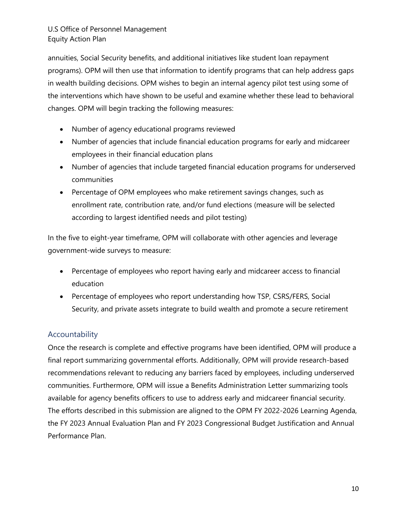annuities, Social Security benefits, and additional initiatives like student loan repayment programs). OPM will then use that information to identify programs that can help address gaps in wealth building decisions. OPM wishes to begin an internal agency pilot test using some of the interventions which have shown to be useful and examine whether these lead to behavioral changes. OPM will begin tracking the following measures:

- Number of agency educational programs reviewed
- Number of agencies that include financial education programs for early and midcareer employees in their financial education plans
- Number of agencies that include targeted financial education programs for underserved communities
- Percentage of OPM employees who make retirement savings changes, such as enrollment rate, contribution rate, and/or fund elections (measure will be selected according to largest identified needs and pilot testing)

In the five to eight-year timeframe, OPM will collaborate with other agencies and leverage government-wide surveys to measure:

- Percentage of employees who report having early and midcareer access to financial education
- Percentage of employees who report understanding how TSP, CSRS/FERS, Social Security, and private assets integrate to build wealth and promote a secure retirement

## Accountability

Once the research is complete and effective programs have been identified, OPM will produce a final report summarizing governmental efforts. Additionally, OPM will provide research-based recommendations relevant to reducing any barriers faced by employees, including underserved communities. Furthermore, OPM will issue a Benefits Administration Letter summarizing tools available for agency benefits officers to use to address early and midcareer financial security. The efforts described in this submission are aligned to the OPM FY 2022-2026 Learning Agenda, the FY 2023 Annual Evaluation Plan and FY 2023 Congressional Budget Justification and Annual Performance Plan.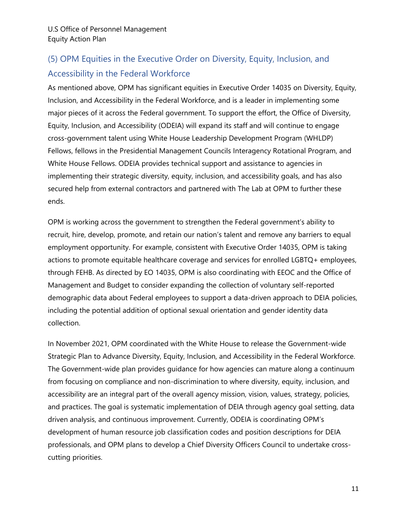# (5) OPM Equities in the Executive Order on Diversity, Equity, Inclusion, and Accessibility in the Federal Workforce

As mentioned above, OPM has significant equities in Executive Order 14035 on Diversity, Equity, Inclusion, and Accessibility in the Federal Workforce, and is a leader in implementing some major pieces of it across the Federal government. To support the effort, the Office of Diversity, Equity, Inclusion, and Accessibility (ODEIA) will expand its staff and will continue to engage cross-government talent using White House Leadership Development Program (WHLDP) Fellows, fellows in the Presidential Management Councils Interagency Rotational Program, and White House Fellows. ODEIA provides technical support and assistance to agencies in implementing their strategic diversity, equity, inclusion, and accessibility goals, and has also secured help from external contractors and partnered with The Lab at OPM to further these ends.

OPM is working across the government to strengthen the Federal government's ability to recruit, hire, develop, promote, and retain our nation's talent and remove any barriers to equal employment opportunity. For example, consistent with Executive Order 14035, OPM is taking actions to promote equitable healthcare coverage and services for enrolled LGBTQ+ employees, through FEHB. As directed by EO 14035, OPM is also coordinating with EEOC and the Office of Management and Budget to consider expanding the collection of voluntary self-reported demographic data about Federal employees to support a data-driven approach to DEIA policies, including the potential addition of optional sexual orientation and gender identity data collection.

In November 2021, OPM coordinated with the White House to release the Government-wide Strategic Plan to Advance Diversity, Equity, Inclusion, and Accessibility in the Federal Workforce. The Government-wide plan provides guidance for how agencies can mature along a continuum from focusing on compliance and non-discrimination to where diversity, equity, inclusion, and accessibility are an integral part of the overall agency mission, vision, values, strategy, policies, and practices. The goal is systematic implementation of DEIA through agency goal setting, data driven analysis, and continuous improvement. Currently, ODEIA is coordinating OPM's development of human resource job classification codes and position descriptions for DEIA professionals, and OPM plans to develop a Chief Diversity Officers Council to undertake crosscutting priorities.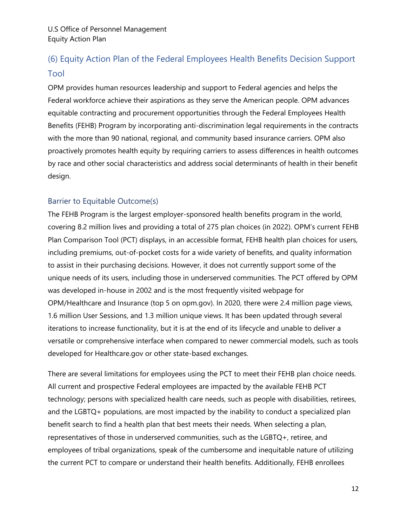# (6) Equity Action Plan of the Federal Employees Health Benefits Decision Support Tool

OPM provides human resources leadership and support to Federal agencies and helps the Federal workforce achieve their aspirations as they serve the American people. OPM advances equitable contracting and procurement opportunities through the Federal Employees Health Benefits (FEHB) Program by incorporating anti-discrimination legal requirements in the contracts with the more than 90 national, regional, and community based insurance carriers. OPM also proactively promotes health equity by requiring carriers to assess differences in health outcomes by race and other social characteristics and address social determinants of health in their benefit design.

## Barrier to Equitable Outcome(s)

The FEHB Program is the largest employer-sponsored health benefits program in the world, covering 8.2 million lives and providing a total of 275 plan choices (in 2022). OPM's current FEHB Plan Comparison Tool (PCT) displays, in an accessible format, FEHB health plan choices for users, including premiums, out-of-pocket costs for a wide variety of benefits, and quality information to assist in their purchasing decisions. However, it does not currently support some of the unique needs of its users, including those in underserved communities. The PCT offered by OPM was developed in-house in 2002 and is the most frequently visited webpage for OPM/Healthcare and Insurance (top 5 on opm.gov). In 2020, there were 2.4 million page views, 1.6 million User Sessions, and 1.3 million unique views. It has been updated through several iterations to increase functionality, but it is at the end of its lifecycle and unable to deliver a versatile or comprehensive interface when compared to newer commercial models, such as tools developed for Healthcare.gov or other state-based exchanges.

There are several limitations for employees using the PCT to meet their FEHB plan choice needs. All current and prospective Federal employees are impacted by the available FEHB PCT technology; persons with specialized health care needs, such as people with disabilities, retirees, and the LGBTQ+ populations, are most impacted by the inability to conduct a specialized plan benefit search to find a health plan that best meets their needs. When selecting a plan, representatives of those in underserved communities, such as the LGBTQ+, retiree, and employees of tribal organizations, speak of the cumbersome and inequitable nature of utilizing the current PCT to compare or understand their health benefits. Additionally, FEHB enrollees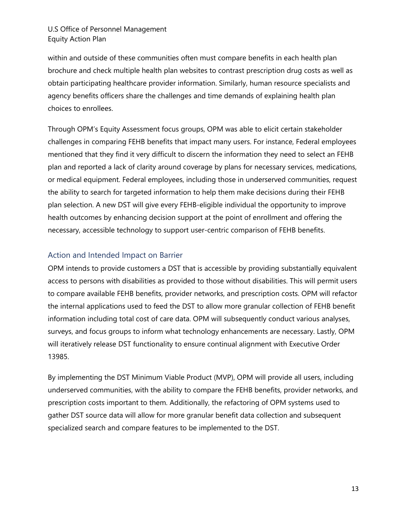within and outside of these communities often must compare benefits in each health plan brochure and check multiple health plan websites to contrast prescription drug costs as well as obtain participating healthcare provider information. Similarly, human resource specialists and agency benefits officers share the challenges and time demands of explaining health plan choices to enrollees.

Through OPM's Equity Assessment focus groups, OPM was able to elicit certain stakeholder challenges in comparing FEHB benefits that impact many users. For instance, Federal employees mentioned that they find it very difficult to discern the information they need to select an FEHB plan and reported a lack of clarity around coverage by plans for necessary services, medications, or medical equipment. Federal employees, including those in underserved communities, request the ability to search for targeted information to help them make decisions during their FEHB plan selection. A new DST will give every FEHB-eligible individual the opportunity to improve health outcomes by enhancing decision support at the point of enrollment and offering the necessary, accessible technology to support user-centric comparison of FEHB benefits.

## Action and Intended Impact on Barrier

OPM intends to provide customers a DST that is accessible by providing substantially equivalent access to persons with disabilities as provided to those without disabilities. This will permit users to compare available FEHB benefits, provider networks, and prescription costs. OPM will refactor the internal applications used to feed the DST to allow more granular collection of FEHB benefit information including total cost of care data. OPM will subsequently conduct various analyses, surveys, and focus groups to inform what technology enhancements are necessary. Lastly, OPM will iteratively release DST functionality to ensure continual alignment with Executive Order 13985.

By implementing the DST Minimum Viable Product (MVP), OPM will provide all users, including underserved communities, with the ability to compare the FEHB benefits, provider networks, and prescription costs important to them. Additionally, the refactoring of OPM systems used to gather DST source data will allow for more granular benefit data collection and subsequent specialized search and compare features to be implemented to the DST.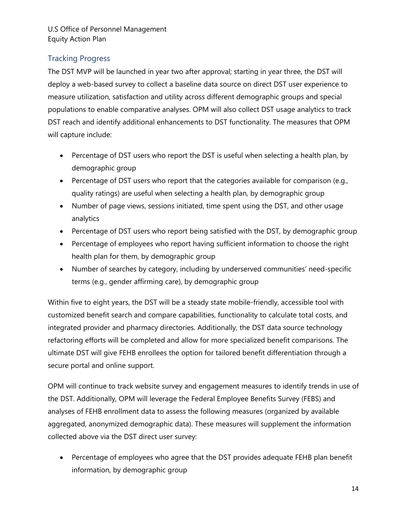## Tracking Progress

The DST MVP will be launched in year two after approval; starting in year three, the DST will deploy a web-based survey to collect a baseline data source on direct DST user experience to measure utilization, satisfaction and utility across different demographic groups and special populations to enable comparative analyses. OPM will also collect DST usage analytics to track DST reach and identify additional enhancements to DST functionality. The measures that OPM will capture include:

- Percentage of DST users who report the DST is useful when selecting a health plan, by demographic group
- Percentage of DST users who report that the categories available for comparison (e.g., quality ratings) are useful when selecting a health plan, by demographic group
- Number of page views, sessions initiated, time spent using the DST, and other usage analytics
- Percentage of DST users who report being satisfied with the DST, by demographic group
- Percentage of employees who report having sufficient information to choose the right health plan for them, by demographic group
- Number of searches by category, including by underserved communities' need-specific terms (e.g., gender affirming care), by demographic group

Within five to eight years, the DST will be a steady state mobile-friendly, accessible tool with customized benefit search and compare capabilities, functionality to calculate total costs, and integrated provider and pharmacy directories. Additionally, the DST data source technology refactoring efforts will be completed and allow for more specialized benefit comparisons. The ultimate DST will give FEHB enrollees the option for tailored benefit differentiation through a secure portal and online support.

OPM will continue to track website survey and engagement measures to identify trends in use of the DST. Additionally, OPM will leverage the Federal Employee Benefits Survey (FEBS) and analyses of FEHB enrollment data to assess the following measures (organized by available aggregated, anonymized demographic data). These measures will supplement the information collected above via the DST direct user survey:

• Percentage of employees who agree that the DST provides adequate FEHB plan benefit information, by demographic group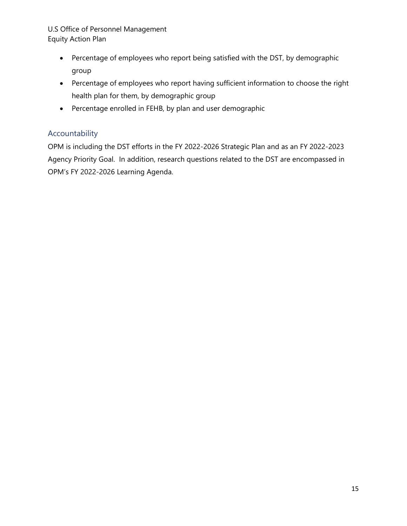- Percentage of employees who report being satisfied with the DST, by demographic group
- Percentage of employees who report having sufficient information to choose the right health plan for them, by demographic group
- Percentage enrolled in FEHB, by plan and user demographic

## Accountability

OPM is including the DST efforts in the FY 2022-2026 Strategic Plan and as an FY 2022-2023 Agency Priority Goal. In addition, research questions related to the DST are encompassed in OPM's FY 2022-2026 Learning Agenda.